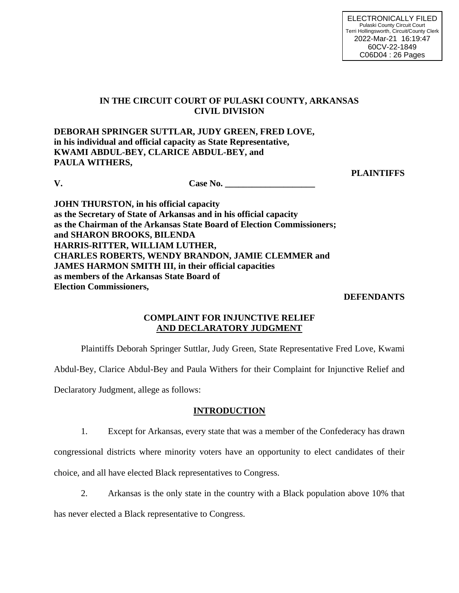# **IN THE CIRCUIT COURT OF PULASKI COUNTY, ARKANSAS CIVIL DIVISION**

**DEBORAH SPRINGER SUTTLAR, JUDY GREEN, FRED LOVE, in his individual and official capacity as State Representative, KWAMI ABDUL-BEY, CLARICE ABDUL-BEY, and PAULA WITHERS,**

**PLAINTIFFS**

**V. Case No. \_\_\_\_\_\_\_\_\_\_\_\_\_\_\_\_\_** 

**JOHN THURSTON, in his official capacity as the Secretary of State of Arkansas and in his official capacity as the Chairman of the Arkansas State Board of Election Commissioners; and SHARON BROOKS, BILENDA HARRIS-RITTER, WILLIAM LUTHER, CHARLES ROBERTS, WENDY BRANDON, JAMIE CLEMMER and JAMES HARMON SMITH III, in their official capacities as members of the Arkansas State Board of Election Commissioners,**

### **DEFENDANTS**

# **COMPLAINT FOR INJUNCTIVE RELIEF AND DECLARATORY JUDGMENT**

Plaintiffs Deborah Springer Suttlar, Judy Green, State Representative Fred Love, Kwami

Abdul-Bey, Clarice Abdul-Bey and Paula Withers for their Complaint for Injunctive Relief and

Declaratory Judgment, allege as follows:

### **INTRODUCTION**

1. Except for Arkansas, every state that was a member of the Confederacy has drawn

congressional districts where minority voters have an opportunity to elect candidates of their choice, and all have elected Black representatives to Congress.

2. Arkansas is the only state in the country with a Black population above 10% that

has never elected a Black representative to Congress.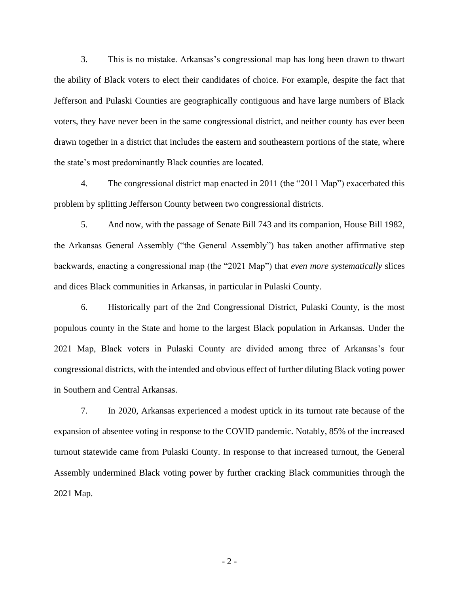3. This is no mistake. Arkansas's congressional map has long been drawn to thwart the ability of Black voters to elect their candidates of choice. For example, despite the fact that Jefferson and Pulaski Counties are geographically contiguous and have large numbers of Black voters, they have never been in the same congressional district, and neither county has ever been drawn together in a district that includes the eastern and southeastern portions of the state, where the state's most predominantly Black counties are located.

4. The congressional district map enacted in 2011 (the "2011 Map") exacerbated this problem by splitting Jefferson County between two congressional districts.

5. And now, with the passage of Senate Bill 743 and its companion, House Bill 1982, the Arkansas General Assembly ("the General Assembly") has taken another affirmative step backwards, enacting a congressional map (the "2021 Map") that *even more systematically* slices and dices Black communities in Arkansas, in particular in Pulaski County.

6. Historically part of the 2nd Congressional District, Pulaski County, is the most populous county in the State and home to the largest Black population in Arkansas. Under the 2021 Map, Black voters in Pulaski County are divided among three of Arkansas's four congressional districts, with the intended and obvious effect of further diluting Black voting power in Southern and Central Arkansas.

7. In 2020, Arkansas experienced a modest uptick in its turnout rate because of the expansion of absentee voting in response to the COVID pandemic. Notably, 85% of the increased turnout statewide came from Pulaski County. In response to that increased turnout, the General Assembly undermined Black voting power by further cracking Black communities through the 2021 Map.

- 2 -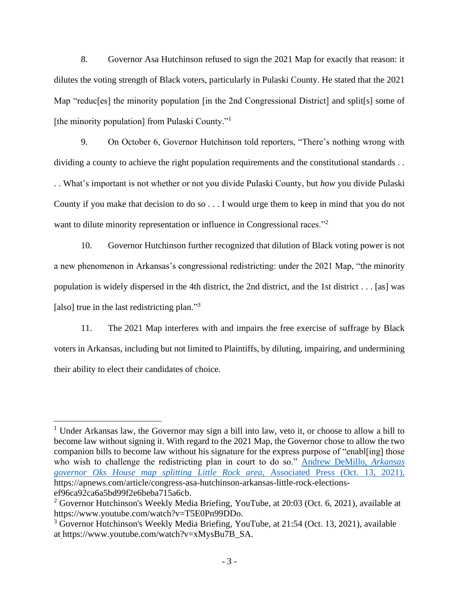8. Governor Asa Hutchinson refused to sign the 2021 Map for exactly that reason: it dilutes the voting strength of Black voters, particularly in Pulaski County. He stated that the 2021 Map "reduc<sup>[es]</sup> the minority population [in the 2nd Congressional District] and split<sup>[9]</sup> some of [the minority population] from Pulaski County."<sup>1</sup>

9. On October 6, Governor Hutchinson told reporters, "There's nothing wrong with dividing a county to achieve the right population requirements and the constitutional standards . .

. . What's important is not whether or not you divide Pulaski County, but *how* you divide Pulaski County if you make that decision to do so . . . I would urge them to keep in mind that you do not want to dilute minority representation or influence in Congressional races."<sup>2</sup>

10. Governor Hutchinson further recognized that dilution of Black voting power is not a new phenomenon in Arkansas's congressional redistricting: under the 2021 Map, "the minority population is widely dispersed in the 4th district, the 2nd district, and the 1st district . . . [as] was [also] true in the last redistricting plan."<sup>3</sup>

11. The 2021 Map interferes with and impairs the free exercise of suffrage by Black voters in Arkansas, including but not limited to Plaintiffs, by diluting, impairing, and undermining their ability to elect their candidates of choice.

<sup>&</sup>lt;sup>1</sup> Under Arkansas law, the Governor may sign a bill into law, veto it, or choose to allow a bill to become law without signing it. With regard to the 2021 Map, the Governor chose to allow the two companion bills to become law without his signature for the express purpose of "enabl[ing] those who wish to challenge the redistricting plan in court to do so." Andrew DeMillo, *Arkansas governor Oks House map splitting Little Rock area,* Associated Press (Oct. 13, 2021), https://apnews.com/article/congress-asa-hutchinson-arkansas-little-rock-electionsef96ca92ca6a5bd99f2e6beba715a6cb.

<sup>&</sup>lt;sup>2</sup> Governor Hutchinson's Weekly Media Briefing, YouTube, at  $20:03$  (Oct. 6, 2021), available at https://www.youtube.com/watch?v=T5E0Pn99DDo.

<sup>&</sup>lt;sup>3</sup> Governor Hutchinson's Weekly Media Briefing, YouTube, at 21:54 (Oct. 13, 2021), available at https://www.youtube.com/watch?v=xMysBu7B\_SA.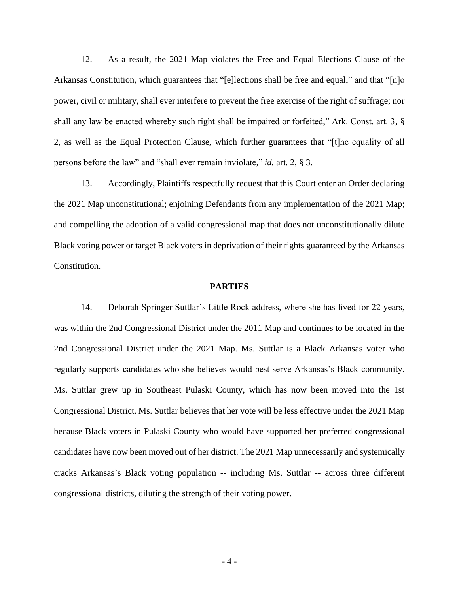12. As a result, the 2021 Map violates the Free and Equal Elections Clause of the Arkansas Constitution, which guarantees that "[e]lections shall be free and equal," and that "[n]o power, civil or military, shall ever interfere to prevent the free exercise of the right of suffrage; nor shall any law be enacted whereby such right shall be impaired or forfeited," Ark. Const. art. 3, § 2, as well as the Equal Protection Clause, which further guarantees that "[t]he equality of all persons before the law" and "shall ever remain inviolate," *id.* art. 2, § 3.

13. Accordingly, Plaintiffs respectfully request that this Court enter an Order declaring the 2021 Map unconstitutional; enjoining Defendants from any implementation of the 2021 Map; and compelling the adoption of a valid congressional map that does not unconstitutionally dilute Black voting power or target Black voters in deprivation of their rights guaranteed by the Arkansas Constitution.

#### **PARTIES**

14. Deborah Springer Suttlar's Little Rock address, where she has lived for 22 years, was within the 2nd Congressional District under the 2011 Map and continues to be located in the 2nd Congressional District under the 2021 Map. Ms. Suttlar is a Black Arkansas voter who regularly supports candidates who she believes would best serve Arkansas's Black community. Ms. Suttlar grew up in Southeast Pulaski County, which has now been moved into the 1st Congressional District. Ms. Suttlar believes that her vote will be less effective under the 2021 Map because Black voters in Pulaski County who would have supported her preferred congressional candidates have now been moved out of her district. The 2021 Map unnecessarily and systemically cracks Arkansas's Black voting population -- including Ms. Suttlar -- across three different congressional districts, diluting the strength of their voting power.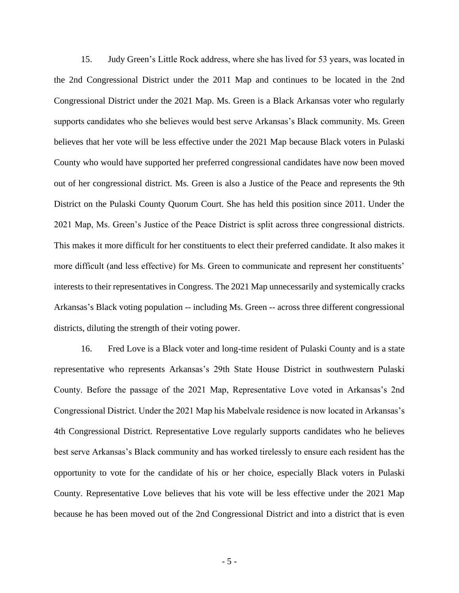15. Judy Green's Little Rock address, where she has lived for 53 years, was located in the 2nd Congressional District under the 2011 Map and continues to be located in the 2nd Congressional District under the 2021 Map. Ms. Green is a Black Arkansas voter who regularly supports candidates who she believes would best serve Arkansas's Black community. Ms. Green believes that her vote will be less effective under the 2021 Map because Black voters in Pulaski County who would have supported her preferred congressional candidates have now been moved out of her congressional district. Ms. Green is also a Justice of the Peace and represents the 9th District on the Pulaski County Quorum Court. She has held this position since 2011. Under the 2021 Map, Ms. Green's Justice of the Peace District is split across three congressional districts. This makes it more difficult for her constituents to elect their preferred candidate. It also makes it more difficult (and less effective) for Ms. Green to communicate and represent her constituents' interests to their representatives in Congress. The 2021 Map unnecessarily and systemically cracks Arkansas's Black voting population -- including Ms. Green -- across three different congressional districts, diluting the strength of their voting power.

16. Fred Love is a Black voter and long-time resident of Pulaski County and is a state representative who represents Arkansas's 29th State House District in southwestern Pulaski County. Before the passage of the 2021 Map, Representative Love voted in Arkansas's 2nd Congressional District. Under the 2021 Map his Mabelvale residence is now located in Arkansas's 4th Congressional District. Representative Love regularly supports candidates who he believes best serve Arkansas's Black community and has worked tirelessly to ensure each resident has the opportunity to vote for the candidate of his or her choice, especially Black voters in Pulaski County. Representative Love believes that his vote will be less effective under the 2021 Map because he has been moved out of the 2nd Congressional District and into a district that is even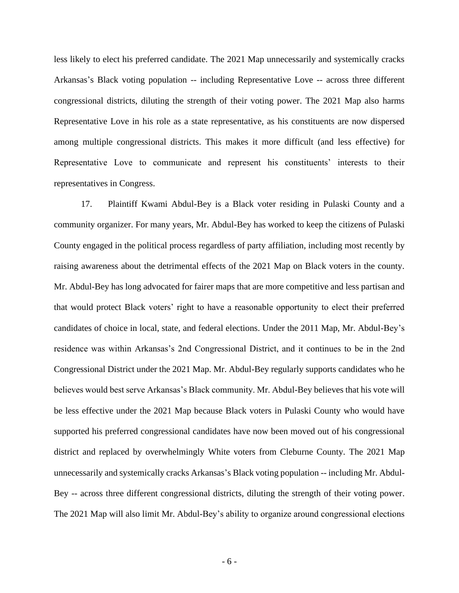less likely to elect his preferred candidate. The 2021 Map unnecessarily and systemically cracks Arkansas's Black voting population -- including Representative Love -- across three different congressional districts, diluting the strength of their voting power. The 2021 Map also harms Representative Love in his role as a state representative, as his constituents are now dispersed among multiple congressional districts. This makes it more difficult (and less effective) for Representative Love to communicate and represent his constituents' interests to their representatives in Congress.

17. Plaintiff Kwami Abdul-Bey is a Black voter residing in Pulaski County and a community organizer. For many years, Mr. Abdul-Bey has worked to keep the citizens of Pulaski County engaged in the political process regardless of party affiliation, including most recently by raising awareness about the detrimental effects of the 2021 Map on Black voters in the county. Mr. Abdul-Bey has long advocated for fairer maps that are more competitive and less partisan and that would protect Black voters' right to have a reasonable opportunity to elect their preferred candidates of choice in local, state, and federal elections. Under the 2011 Map, Mr. Abdul-Bey's residence was within Arkansas's 2nd Congressional District, and it continues to be in the 2nd Congressional District under the 2021 Map. Mr. Abdul-Bey regularly supports candidates who he believes would best serve Arkansas's Black community. Mr. Abdul-Bey believes that his vote will be less effective under the 2021 Map because Black voters in Pulaski County who would have supported his preferred congressional candidates have now been moved out of his congressional district and replaced by overwhelmingly White voters from Cleburne County. The 2021 Map unnecessarily and systemically cracks Arkansas's Black voting population -- including Mr. Abdul-Bey -- across three different congressional districts, diluting the strength of their voting power. The 2021 Map will also limit Mr. Abdul-Bey's ability to organize around congressional elections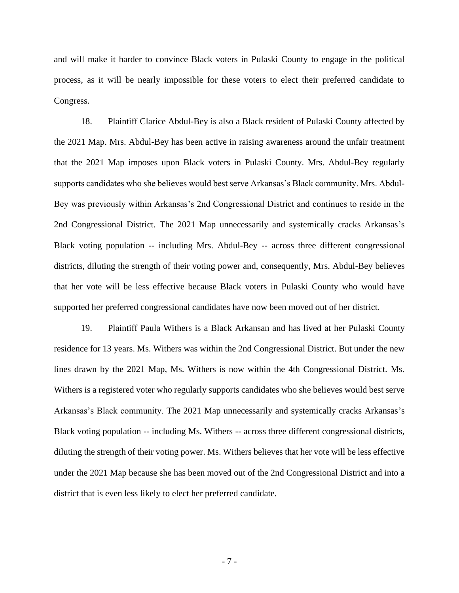and will make it harder to convince Black voters in Pulaski County to engage in the political process, as it will be nearly impossible for these voters to elect their preferred candidate to Congress.

18. Plaintiff Clarice Abdul-Bey is also a Black resident of Pulaski County affected by the 2021 Map. Mrs. Abdul-Bey has been active in raising awareness around the unfair treatment that the 2021 Map imposes upon Black voters in Pulaski County. Mrs. Abdul-Bey regularly supports candidates who she believes would best serve Arkansas's Black community. Mrs. Abdul-Bey was previously within Arkansas's 2nd Congressional District and continues to reside in the 2nd Congressional District. The 2021 Map unnecessarily and systemically cracks Arkansas's Black voting population -- including Mrs. Abdul-Bey -- across three different congressional districts, diluting the strength of their voting power and, consequently, Mrs. Abdul-Bey believes that her vote will be less effective because Black voters in Pulaski County who would have supported her preferred congressional candidates have now been moved out of her district.

19. Plaintiff Paula Withers is a Black Arkansan and has lived at her Pulaski County residence for 13 years. Ms. Withers was within the 2nd Congressional District. But under the new lines drawn by the 2021 Map, Ms. Withers is now within the 4th Congressional District. Ms. Withers is a registered voter who regularly supports candidates who she believes would best serve Arkansas's Black community. The 2021 Map unnecessarily and systemically cracks Arkansas's Black voting population -- including Ms. Withers -- across three different congressional districts, diluting the strength of their voting power. Ms. Withers believes that her vote will be less effective under the 2021 Map because she has been moved out of the 2nd Congressional District and into a district that is even less likely to elect her preferred candidate.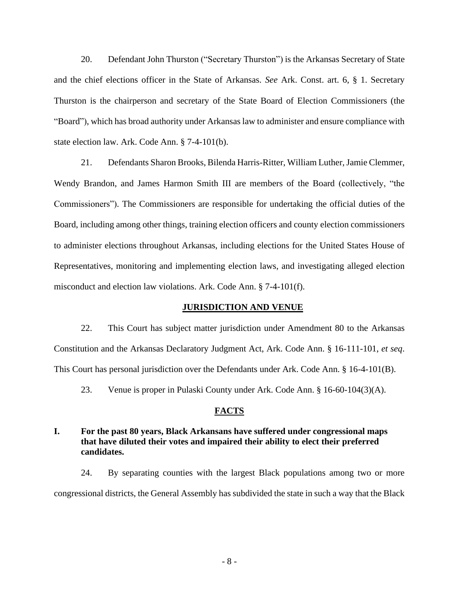20. Defendant John Thurston ("Secretary Thurston") is the Arkansas Secretary of State and the chief elections officer in the State of Arkansas. *See* Ark. Const. art. 6, § 1. Secretary Thurston is the chairperson and secretary of the State Board of Election Commissioners (the "Board"), which has broad authority under Arkansas law to administer and ensure compliance with state election law. Ark. Code Ann. § 7-4-101(b).

21. Defendants Sharon Brooks, Bilenda Harris-Ritter, William Luther, Jamie Clemmer, Wendy Brandon, and James Harmon Smith III are members of the Board (collectively, "the Commissioners"). The Commissioners are responsible for undertaking the official duties of the Board, including among other things, training election officers and county election commissioners to administer elections throughout Arkansas, including elections for the United States House of Representatives, monitoring and implementing election laws, and investigating alleged election misconduct and election law violations. Ark. Code Ann. § 7-4-101(f).

#### **JURISDICTION AND VENUE**

22. This Court has subject matter jurisdiction under Amendment 80 to the Arkansas Constitution and the Arkansas Declaratory Judgment Act, Ark. Code Ann. § 16-111-101, *et seq*. This Court has personal jurisdiction over the Defendants under Ark. Code Ann. § 16-4-101(B).

23. Venue is proper in Pulaski County under Ark. Code Ann. § 16-60-104(3)(A).

#### **FACTS**

## **I. For the past 80 years, Black Arkansans have suffered under congressional maps that have diluted their votes and impaired their ability to elect their preferred candidates.**

24. By separating counties with the largest Black populations among two or more congressional districts, the General Assembly has subdivided the state in such a way that the Black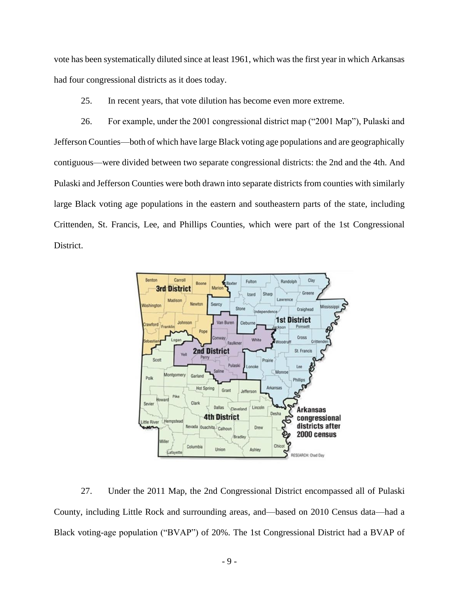vote has been systematically diluted since at least 1961, which was the first year in which Arkansas had four congressional districts as it does today.

25. In recent years, that vote dilution has become even more extreme.

26. For example, under the 2001 congressional district map ("2001 Map"), Pulaski and Jefferson Counties—both of which have large Black voting age populations and are geographically contiguous—were divided between two separate congressional districts: the 2nd and the 4th. And Pulaski and Jefferson Counties were both drawn into separate districts from counties with similarly large Black voting age populations in the eastern and southeastern parts of the state, including Crittenden, St. Francis, Lee, and Phillips Counties, which were part of the 1st Congressional District.



27. Under the 2011 Map, the 2nd Congressional District encompassed all of Pulaski County, including Little Rock and surrounding areas, and—based on 2010 Census data—had a Black voting-age population ("BVAP") of 20%. The 1st Congressional District had a BVAP of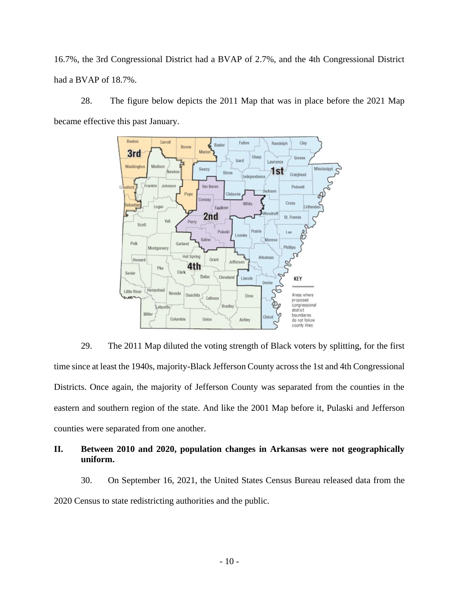16.7%, the 3rd Congressional District had a BVAP of 2.7%, and the 4th Congressional District had a BVAP of 18.7%.

28. The figure below depicts the 2011 Map that was in place before the 2021 Map became effective this past January.



29. The 2011 Map diluted the voting strength of Black voters by splitting, for the first time since at least the 1940s, majority-Black Jefferson County across the 1st and 4th Congressional Districts. Once again, the majority of Jefferson County was separated from the counties in the eastern and southern region of the state. And like the 2001 Map before it, Pulaski and Jefferson counties were separated from one another.

# **II. Between 2010 and 2020, population changes in Arkansas were not geographically uniform.**

30. On September 16, 2021, the United States Census Bureau released data from the 2020 Census to state redistricting authorities and the public.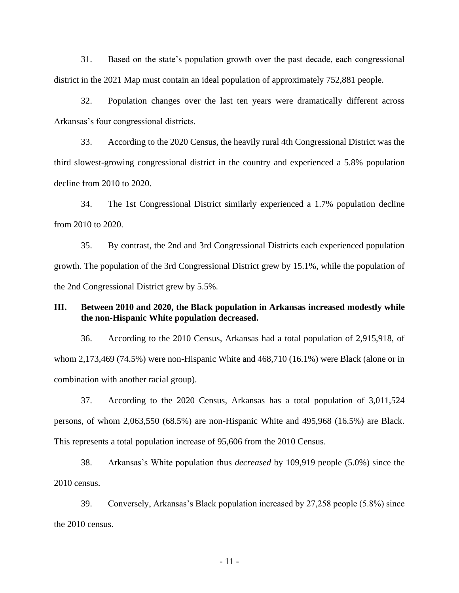31. Based on the state's population growth over the past decade, each congressional district in the 2021 Map must contain an ideal population of approximately 752,881 people.

32. Population changes over the last ten years were dramatically different across Arkansas's four congressional districts.

33. According to the 2020 Census, the heavily rural 4th Congressional District was the third slowest-growing congressional district in the country and experienced a 5.8% population decline from 2010 to 2020.

34. The 1st Congressional District similarly experienced a 1.7% population decline from 2010 to 2020.

35. By contrast, the 2nd and 3rd Congressional Districts each experienced population growth. The population of the 3rd Congressional District grew by 15.1%, while the population of the 2nd Congressional District grew by 5.5%.

### **III. Between 2010 and 2020, the Black population in Arkansas increased modestly while the non-Hispanic White population decreased.**

36. According to the 2010 Census, Arkansas had a total population of 2,915,918, of whom 2,173,469 (74.5%) were non-Hispanic White and 468,710 (16.1%) were Black (alone or in combination with another racial group).

37. According to the 2020 Census, Arkansas has a total population of 3,011,524 persons, of whom 2,063,550 (68.5%) are non-Hispanic White and 495,968 (16.5%) are Black. This represents a total population increase of 95,606 from the 2010 Census.

38. Arkansas's White population thus *decreased* by 109,919 people (5.0%) since the 2010 census.

39. Conversely, Arkansas's Black population increased by 27,258 people (5.8%) since the 2010 census.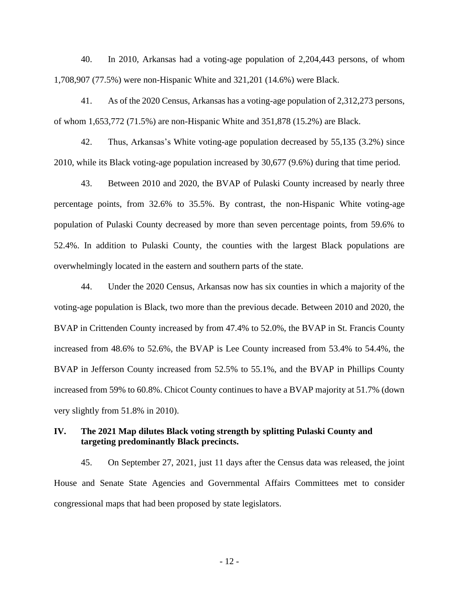40. In 2010, Arkansas had a voting-age population of 2,204,443 persons, of whom 1,708,907 (77.5%) were non-Hispanic White and 321,201 (14.6%) were Black.

41. As of the 2020 Census, Arkansas has a voting-age population of 2,312,273 persons, of whom 1,653,772 (71.5%) are non-Hispanic White and 351,878 (15.2%) are Black.

42. Thus, Arkansas's White voting-age population decreased by 55,135 (3.2%) since 2010, while its Black voting-age population increased by 30,677 (9.6%) during that time period.

43. Between 2010 and 2020, the BVAP of Pulaski County increased by nearly three percentage points, from 32.6% to 35.5%. By contrast, the non-Hispanic White voting-age population of Pulaski County decreased by more than seven percentage points, from 59.6% to 52.4%. In addition to Pulaski County, the counties with the largest Black populations are overwhelmingly located in the eastern and southern parts of the state.

44. Under the 2020 Census, Arkansas now has six counties in which a majority of the voting-age population is Black, two more than the previous decade. Between 2010 and 2020, the BVAP in Crittenden County increased by from 47.4% to 52.0%, the BVAP in St. Francis County increased from 48.6% to 52.6%, the BVAP is Lee County increased from 53.4% to 54.4%, the BVAP in Jefferson County increased from 52.5% to 55.1%, and the BVAP in Phillips County increased from 59% to 60.8%. Chicot County continues to have a BVAP majority at 51.7% (down very slightly from 51.8% in 2010).

## **IV. The 2021 Map dilutes Black voting strength by splitting Pulaski County and targeting predominantly Black precincts.**

45. On September 27, 2021, just 11 days after the Census data was released, the joint House and Senate State Agencies and Governmental Affairs Committees met to consider congressional maps that had been proposed by state legislators.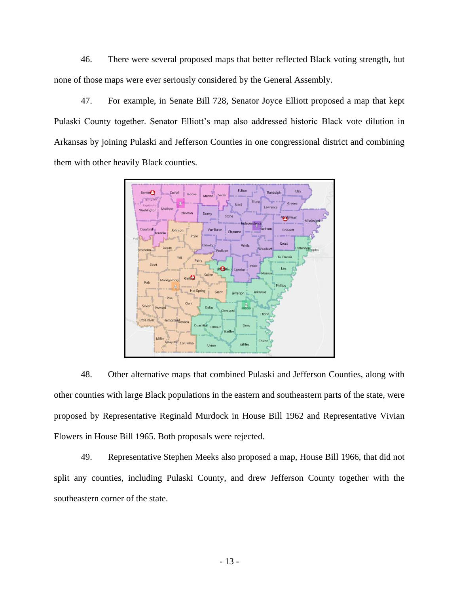46. There were several proposed maps that better reflected Black voting strength, but none of those maps were ever seriously considered by the General Assembly.

47. For example, in Senate Bill 728, Senator Joyce Elliott proposed a map that kept Pulaski County together. Senator Elliott's map also addressed historic Black vote dilution in Arkansas by joining Pulaski and Jefferson Counties in one congressional district and combining them with other heavily Black counties.



48. Other alternative maps that combined Pulaski and Jefferson Counties, along with other counties with large Black populations in the eastern and southeastern parts of the state, were proposed by Representative Reginald Murdock in House Bill 1962 and Representative Vivian Flowers in House Bill 1965. Both proposals were rejected.

49. Representative Stephen Meeks also proposed a map, House Bill 1966, that did not split any counties, including Pulaski County, and drew Jefferson County together with the southeastern corner of the state.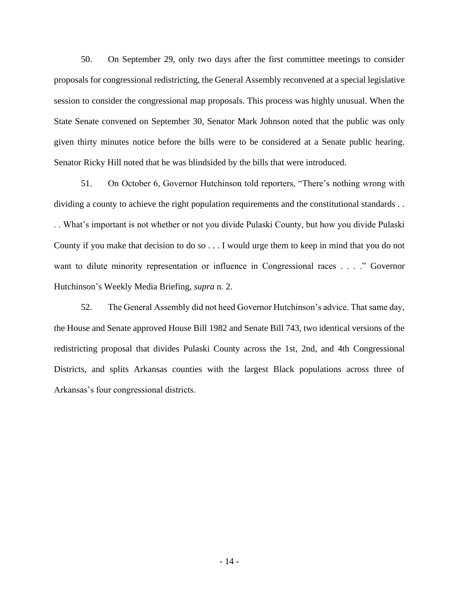50. On September 29, only two days after the first committee meetings to consider proposals for congressional redistricting, the General Assembly reconvened at a special legislative session to consider the congressional map proposals. This process was highly unusual. When the State Senate convened on September 30, Senator Mark Johnson noted that the public was only given thirty minutes notice before the bills were to be considered at a Senate public hearing. Senator Ricky Hill noted that he was blindsided by the bills that were introduced.

51. On October 6, Governor Hutchinson told reporters, "There's nothing wrong with dividing a county to achieve the right population requirements and the constitutional standards . . . . What's important is not whether or not you divide Pulaski County, but how you divide Pulaski County if you make that decision to do so . . . I would urge them to keep in mind that you do not want to dilute minority representation or influence in Congressional races . . . . " Governor Hutchinson's Weekly Media Briefing, *supra* n. 2.

52. The General Assembly did not heed Governor Hutchinson's advice. That same day, the House and Senate approved House Bill 1982 and Senate Bill 743, two identical versions of the redistricting proposal that divides Pulaski County across the 1st, 2nd, and 4th Congressional Districts, and splits Arkansas counties with the largest Black populations across three of Arkansas's four congressional districts.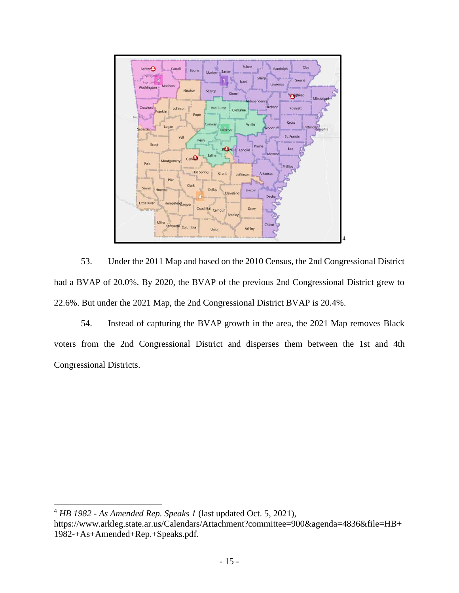

53. Under the 2011 Map and based on the 2010 Census, the 2nd Congressional District had a BVAP of 20.0%. By 2020, the BVAP of the previous 2nd Congressional District grew to 22.6%. But under the 2021 Map, the 2nd Congressional District BVAP is 20.4%.

54. Instead of capturing the BVAP growth in the area, the 2021 Map removes Black voters from the 2nd Congressional District and disperses them between the 1st and 4th Congressional Districts.

<sup>4</sup> *HB 1982 - As Amended Rep. Speaks 1* (last updated Oct. 5, 2021),

https://www.arkleg.state.ar.us/Calendars/Attachment?committee=900&agenda=4836&file=HB+ 1982-+As+Amended+Rep.+Speaks.pdf.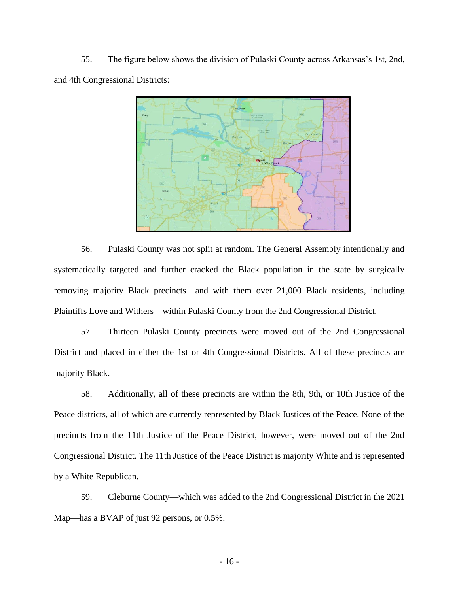55. The figure below shows the division of Pulaski County across Arkansas's 1st, 2nd, and 4th Congressional Districts:



56. Pulaski County was not split at random. The General Assembly intentionally and systematically targeted and further cracked the Black population in the state by surgically removing majority Black precincts—and with them over 21,000 Black residents, including Plaintiffs Love and Withers—within Pulaski County from the 2nd Congressional District.

57. Thirteen Pulaski County precincts were moved out of the 2nd Congressional District and placed in either the 1st or 4th Congressional Districts. All of these precincts are majority Black.

58. Additionally, all of these precincts are within the 8th, 9th, or 10th Justice of the Peace districts, all of which are currently represented by Black Justices of the Peace. None of the precincts from the 11th Justice of the Peace District, however, were moved out of the 2nd Congressional District. The 11th Justice of the Peace District is majority White and is represented by a White Republican.

59. Cleburne County—which was added to the 2nd Congressional District in the 2021 Map—has a BVAP of just 92 persons, or 0.5%.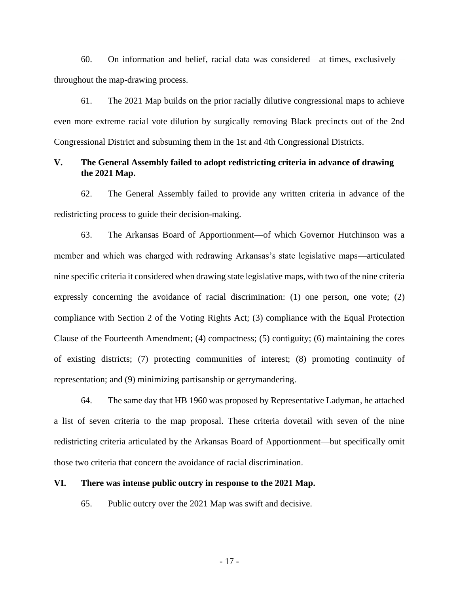60. On information and belief, racial data was considered—at times, exclusively throughout the map-drawing process.

61. The 2021 Map builds on the prior racially dilutive congressional maps to achieve even more extreme racial vote dilution by surgically removing Black precincts out of the 2nd Congressional District and subsuming them in the 1st and 4th Congressional Districts.

### **V. The General Assembly failed to adopt redistricting criteria in advance of drawing the 2021 Map.**

62. The General Assembly failed to provide any written criteria in advance of the redistricting process to guide their decision-making.

63. The Arkansas Board of Apportionment—of which Governor Hutchinson was a member and which was charged with redrawing Arkansas's state legislative maps—articulated nine specific criteria it considered when drawing state legislative maps, with two of the nine criteria expressly concerning the avoidance of racial discrimination: (1) one person, one vote; (2) compliance with Section 2 of the Voting Rights Act; (3) compliance with the Equal Protection Clause of the Fourteenth Amendment; (4) compactness; (5) contiguity; (6) maintaining the cores of existing districts; (7) protecting communities of interest; (8) promoting continuity of representation; and (9) minimizing partisanship or gerrymandering.

64. The same day that HB 1960 was proposed by Representative Ladyman, he attached a list of seven criteria to the map proposal. These criteria dovetail with seven of the nine redistricting criteria articulated by the Arkansas Board of Apportionment—but specifically omit those two criteria that concern the avoidance of racial discrimination.

#### **VI. There was intense public outcry in response to the 2021 Map.**

65. Public outcry over the 2021 Map was swift and decisive.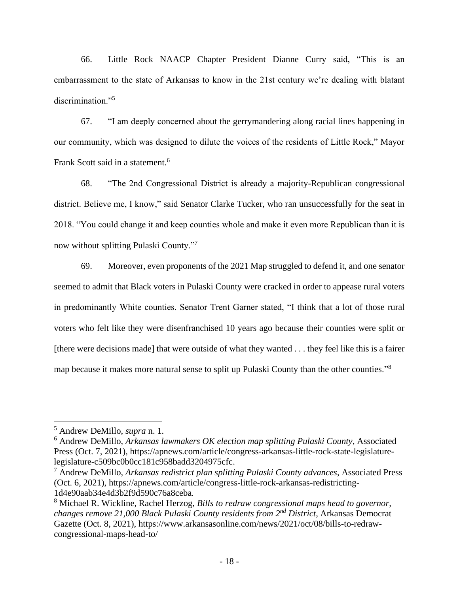66. Little Rock NAACP Chapter President Dianne Curry said, "This is an embarrassment to the state of Arkansas to know in the 21st century we're dealing with blatant discrimination."<sup>5</sup>

67. "I am deeply concerned about the gerrymandering along racial lines happening in our community, which was designed to dilute the voices of the residents of Little Rock," Mayor Frank Scott said in a statement.<sup>6</sup>

68. "The 2nd Congressional District is already a majority-Republican congressional district. Believe me, I know," said Senator Clarke Tucker, who ran unsuccessfully for the seat in 2018. "You could change it and keep counties whole and make it even more Republican than it is now without splitting Pulaski County."<sup>7</sup>

69. Moreover, even proponents of the 2021 Map struggled to defend it, and one senator seemed to admit that Black voters in Pulaski County were cracked in order to appease rural voters in predominantly White counties. Senator Trent Garner stated, "I think that a lot of those rural voters who felt like they were disenfranchised 10 years ago because their counties were split or [there were decisions made] that were outside of what they wanted . . . they feel like this is a fairer map because it makes more natural sense to split up Pulaski County than the other counties."<sup>8</sup>

<sup>5</sup> Andrew DeMillo, *supra* n. 1.

<sup>6</sup> Andrew DeMillo, *Arkansas lawmakers OK election map splitting Pulaski County*, Associated Press (Oct. 7, 2021), https://apnews.com/article/congress-arkansas-little-rock-state-legislaturelegislature-c509bc0b0cc181c958badd3204975cfc.

<sup>7</sup> Andrew DeMillo, *Arkansas redistrict plan splitting Pulaski County advances*, Associated Press (Oct. 6, 2021), https://apnews.com/article/congress-little-rock-arkansas-redistricting-1d4e90aab34e4d3b2f9d590c76a8ceba.

<sup>8</sup> Michael R. Wickline, Rachel Herzog, *Bills to redraw congressional maps head to governor, changes remove 21,000 Black Pulaski County residents from 2nd District*, Arkansas Democrat Gazette (Oct. 8, 2021), https://www.arkansasonline.com/news/2021/oct/08/bills-to-redrawcongressional-maps-head-to/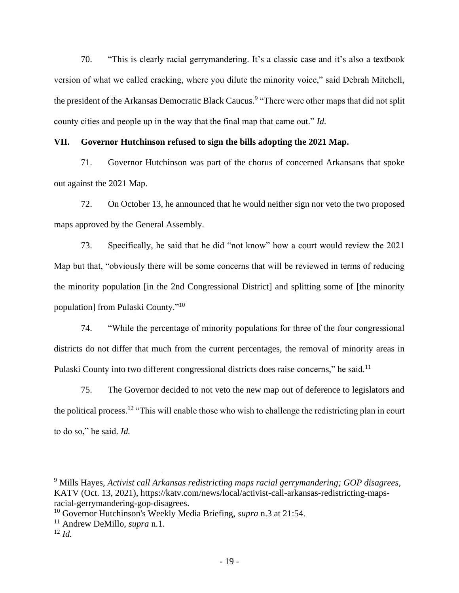70. "This is clearly racial gerrymandering. It's a classic case and it's also a textbook version of what we called cracking, where you dilute the minority voice," said Debrah Mitchell, the president of the Arkansas Democratic Black Caucus.<sup>9</sup> "There were other maps that did not split county cities and people up in the way that the final map that came out." *Id.*

#### **VII. Governor Hutchinson refused to sign the bills adopting the 2021 Map.**

71. Governor Hutchinson was part of the chorus of concerned Arkansans that spoke out against the 2021 Map.

72. On October 13, he announced that he would neither sign nor veto the two proposed maps approved by the General Assembly.

73. Specifically, he said that he did "not know" how a court would review the 2021 Map but that, "obviously there will be some concerns that will be reviewed in terms of reducing the minority population [in the 2nd Congressional District] and splitting some of [the minority population] from Pulaski County."<sup>10</sup>

74. "While the percentage of minority populations for three of the four congressional districts do not differ that much from the current percentages, the removal of minority areas in Pulaski County into two different congressional districts does raise concerns," he said.<sup>11</sup>

75. The Governor decided to not veto the new map out of deference to legislators and the political process.<sup>12</sup> "This will enable those who wish to challenge the redistricting plan in court to do so," he said. *Id.*

<sup>9</sup> Mills Hayes, *Activist call Arkansas redistricting maps racial gerrymandering; GOP disagrees*, KATV (Oct. 13, 2021), https://katv.com/news/local/activist-call-arkansas-redistricting-mapsracial-gerrymandering-gop-disagrees.

<sup>10</sup> Governor Hutchinson's Weekly Media Briefing, *supra* n.3 at 21:54.

<sup>11</sup> Andrew DeMillo, *supra* n.1.

<sup>12</sup> *Id.*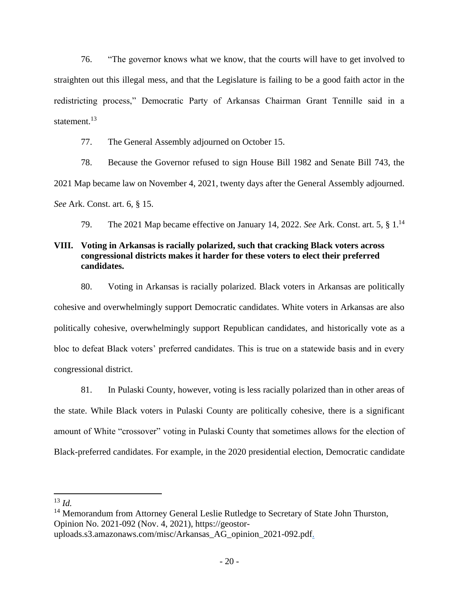76. "The governor knows what we know, that the courts will have to get involved to straighten out this illegal mess, and that the Legislature is failing to be a good faith actor in the redistricting process," Democratic Party of Arkansas Chairman Grant Tennille said in a statement.<sup>13</sup>

77. The General Assembly adjourned on October 15.

78. Because the Governor refused to sign House Bill 1982 and Senate Bill 743, the 2021 Map became law on November 4, 2021, twenty days after the General Assembly adjourned. *See* Ark. Const. art. 6, § 15.

79. The 2021 Map became effective on January 14, 2022. *See* Ark. Const. art. 5, § 1. 14

# **VIII. Voting in Arkansas is racially polarized, such that cracking Black voters across congressional districts makes it harder for these voters to elect their preferred candidates.**

80. Voting in Arkansas is racially polarized. Black voters in Arkansas are politically cohesive and overwhelmingly support Democratic candidates. White voters in Arkansas are also politically cohesive, overwhelmingly support Republican candidates, and historically vote as a bloc to defeat Black voters' preferred candidates. This is true on a statewide basis and in every congressional district.

81. In Pulaski County, however, voting is less racially polarized than in other areas of the state. While Black voters in Pulaski County are politically cohesive, there is a significant amount of White "crossover" voting in Pulaski County that sometimes allows for the election of Black-preferred candidates. For example, in the 2020 presidential election, Democratic candidate

<sup>13</sup> *Id.*

<sup>&</sup>lt;sup>14</sup> Memorandum from Attorney General Leslie Rutledge to Secretary of State John Thurston, Opinion No. 2021-092 (Nov. 4, 2021), https://geostor-

uploads.s3.amazonaws.com/misc/Arkansas\_AG\_opinion\_2021-092.pdf.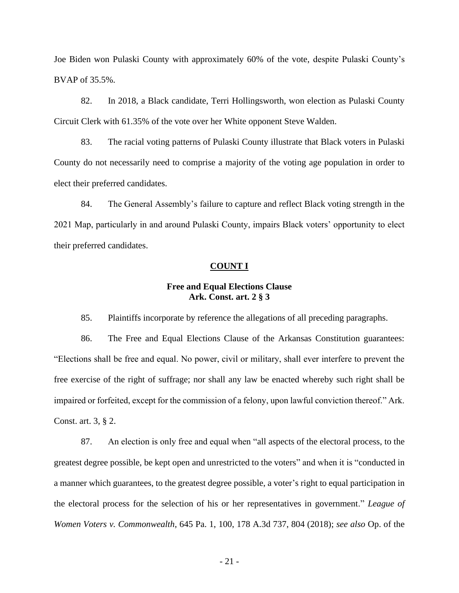Joe Biden won Pulaski County with approximately 60% of the vote, despite Pulaski County's BVAP of 35.5%.

82. In 2018, a Black candidate, Terri Hollingsworth, won election as Pulaski County Circuit Clerk with 61.35% of the vote over her White opponent Steve Walden.

83. The racial voting patterns of Pulaski County illustrate that Black voters in Pulaski County do not necessarily need to comprise a majority of the voting age population in order to elect their preferred candidates.

84. The General Assembly's failure to capture and reflect Black voting strength in the 2021 Map, particularly in and around Pulaski County, impairs Black voters' opportunity to elect their preferred candidates.

#### **COUNT I**

### **Free and Equal Elections Clause Ark. Const. art. 2 § 3**

85. Plaintiffs incorporate by reference the allegations of all preceding paragraphs.

86. The Free and Equal Elections Clause of the Arkansas Constitution guarantees: "Elections shall be free and equal. No power, civil or military, shall ever interfere to prevent the free exercise of the right of suffrage; nor shall any law be enacted whereby such right shall be impaired or forfeited, except for the commission of a felony, upon lawful conviction thereof." Ark. Const. art. 3, § 2.

87. An election is only free and equal when "all aspects of the electoral process, to the greatest degree possible, be kept open and unrestricted to the voters" and when it is "conducted in a manner which guarantees, to the greatest degree possible, a voter's right to equal participation in the electoral process for the selection of his or her representatives in government." *League of Women Voters v. Commonwealth*, 645 Pa. 1, 100, 178 A.3d 737, 804 (2018); *see also* Op. of the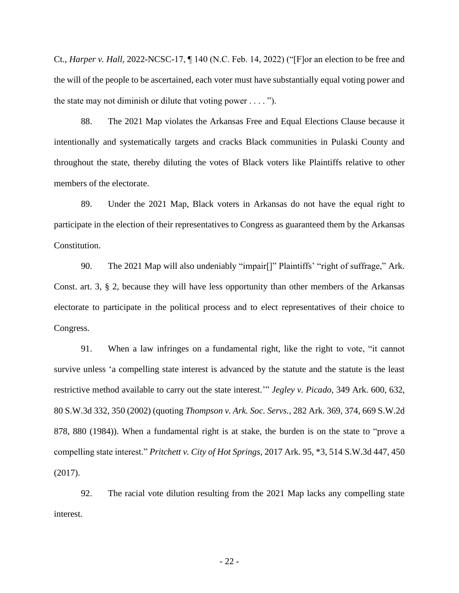Ct., *Harper v. Hall*, 2022-NCSC-17, ¶ 140 (N.C. Feb. 14, 2022) ("[F]or an election to be free and the will of the people to be ascertained, each voter must have substantially equal voting power and the state may not diminish or dilute that voting power  $\dots$ .").

88. The 2021 Map violates the Arkansas Free and Equal Elections Clause because it intentionally and systematically targets and cracks Black communities in Pulaski County and throughout the state, thereby diluting the votes of Black voters like Plaintiffs relative to other members of the electorate.

89. Under the 2021 Map, Black voters in Arkansas do not have the equal right to participate in the election of their representatives to Congress as guaranteed them by the Arkansas Constitution.

90. The 2021 Map will also undeniably "impair<sup>[]"</sup> Plaintiffs' "right of suffrage," Ark. Const. art. 3, § 2, because they will have less opportunity than other members of the Arkansas electorate to participate in the political process and to elect representatives of their choice to Congress.

91. When a law infringes on a fundamental right, like the right to vote, "it cannot survive unless 'a compelling state interest is advanced by the statute and the statute is the least restrictive method available to carry out the state interest.'" *Jegley v. Picado*, 349 Ark. 600, 632, 80 S.W.3d 332, 350 (2002) (quoting *Thompson v. Ark. Soc. Servs.*, 282 Ark. 369, 374, 669 S.W.2d 878, 880 (1984)). When a fundamental right is at stake, the burden is on the state to "prove a compelling state interest." *Pritchett v. City of Hot Springs*, 2017 Ark. 95, \*3, 514 S.W.3d 447, 450 (2017).

92. The racial vote dilution resulting from the 2021 Map lacks any compelling state interest.

- 22 -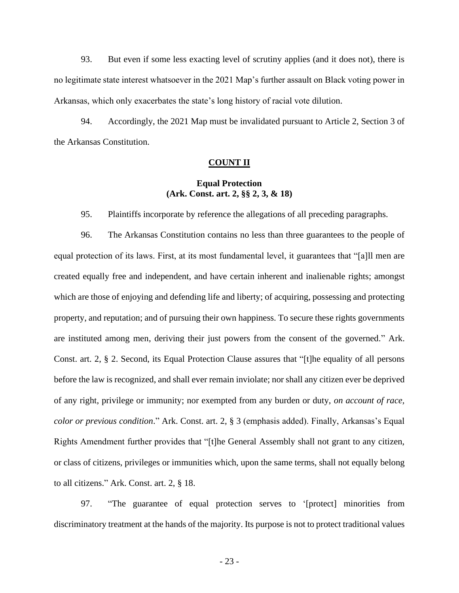93. But even if some less exacting level of scrutiny applies (and it does not), there is no legitimate state interest whatsoever in the 2021 Map's further assault on Black voting power in Arkansas, which only exacerbates the state's long history of racial vote dilution.

94. Accordingly, the 2021 Map must be invalidated pursuant to Article 2, Section 3 of the Arkansas Constitution.

#### **COUNT II**

### **Equal Protection (Ark. Const. art. 2, §§ 2, 3, & 18)**

95. Plaintiffs incorporate by reference the allegations of all preceding paragraphs.

96. The Arkansas Constitution contains no less than three guarantees to the people of equal protection of its laws. First, at its most fundamental level, it guarantees that "[a]ll men are created equally free and independent, and have certain inherent and inalienable rights; amongst which are those of enjoying and defending life and liberty; of acquiring, possessing and protecting property, and reputation; and of pursuing their own happiness. To secure these rights governments are instituted among men, deriving their just powers from the consent of the governed." Ark. Const. art. 2, § 2. Second, its Equal Protection Clause assures that "[t]he equality of all persons before the law is recognized, and shall ever remain inviolate; nor shall any citizen ever be deprived of any right, privilege or immunity; nor exempted from any burden or duty, *on account of race, color or previous condition*." Ark. Const. art. 2, § 3 (emphasis added). Finally, Arkansas's Equal Rights Amendment further provides that "[t]he General Assembly shall not grant to any citizen, or class of citizens, privileges or immunities which, upon the same terms, shall not equally belong to all citizens." Ark. Const. art. 2, § 18.

97. "The guarantee of equal protection serves to '[protect] minorities from discriminatory treatment at the hands of the majority. Its purpose is not to protect traditional values

- 23 -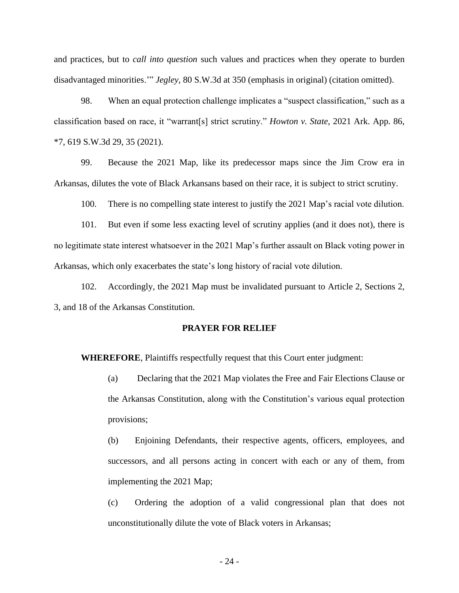and practices, but to *call into question* such values and practices when they operate to burden disadvantaged minorities.'" *Jegley*, 80 S.W.3d at 350 (emphasis in original) (citation omitted).

98. When an equal protection challenge implicates a "suspect classification," such as a classification based on race, it "warrant[s] strict scrutiny." *Howton v. State*, 2021 Ark. App. 86, \*7, 619 S.W.3d 29, 35 (2021).

99. Because the 2021 Map, like its predecessor maps since the Jim Crow era in Arkansas, dilutes the vote of Black Arkansans based on their race, it is subject to strict scrutiny.

100. There is no compelling state interest to justify the 2021 Map's racial vote dilution.

101. But even if some less exacting level of scrutiny applies (and it does not), there is no legitimate state interest whatsoever in the 2021 Map's further assault on Black voting power in Arkansas, which only exacerbates the state's long history of racial vote dilution.

102. Accordingly, the 2021 Map must be invalidated pursuant to Article 2, Sections 2, 3, and 18 of the Arkansas Constitution.

#### **PRAYER FOR RELIEF**

**WHEREFORE**, Plaintiffs respectfully request that this Court enter judgment:

(a) Declaring that the 2021 Map violates the Free and Fair Elections Clause or the Arkansas Constitution, along with the Constitution's various equal protection provisions;

(b) Enjoining Defendants, their respective agents, officers, employees, and successors, and all persons acting in concert with each or any of them, from implementing the 2021 Map;

(c) Ordering the adoption of a valid congressional plan that does not unconstitutionally dilute the vote of Black voters in Arkansas;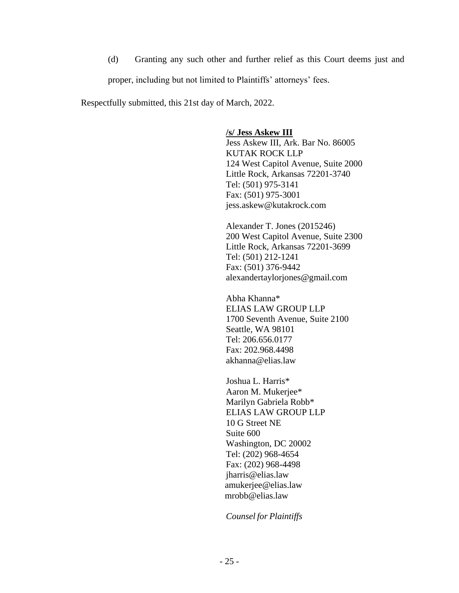(d) Granting any such other and further relief as this Court deems just and proper, including but not limited to Plaintiffs' attorneys' fees.

Respectfully submitted, this 21st day of March, 2022.

**/s/ Jess Askew III** 

Jess Askew III, Ark. Bar No. 86005 KUTAK ROCK LLP 124 West Capitol Avenue, Suite 2000 Little Rock, Arkansas 72201-3740 Tel: (501) 975-3141 Fax: (501) 975-3001 jess.askew@kutakrock.com

Alexander T. Jones (2015246) 200 West Capitol Avenue, Suite 2300 Little Rock, Arkansas 72201-3699 Tel: (501) 212-1241 Fax: (501) 376-9442 alexandertaylorjones@gmail.com

Abha Khanna\* ELIAS LAW GROUP LLP 1700 Seventh Avenue, Suite 2100 Seattle, WA 98101 Tel: 206.656.0177 Fax: 202.968.4498 akhanna@elias.law

Joshua L. Harris\* Aaron M. Mukerjee\* Marilyn Gabriela Robb\* ELIAS LAW GROUP LLP 10 G Street NE Suite 600 Washington, DC 20002 Tel: (202) 968-4654 Fax: (202) 968-4498 jharris@elias.law amukerjee@elias.law mrobb@elias.law

*Counsel for Plaintiffs*